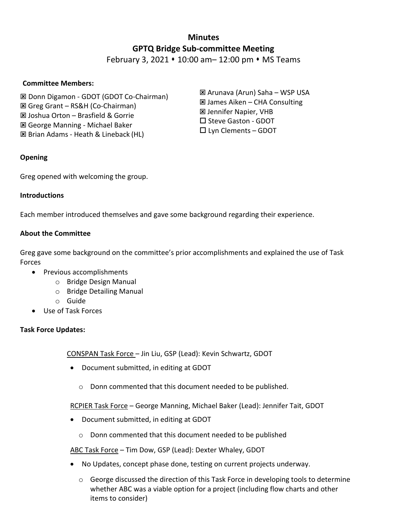# **Minutes GPTQ Bridge Sub-committee Meeting**

February 3, 2021  $\star$  10:00 am – 12:00 pm  $\star$  MS Teams

## **Committee Members:**

 Donn Digamon - GDOT (GDOT Co-Chairman) Greg Grant – RS&H (Co-Chairman) Joshua Orton – Brasfield & Gorrie George Manning - Michael Baker **E** Brian Adams - Heath & Lineback (HL)

**Opening**

Greg opened with welcoming the group.

#### **Introductions**

Each member introduced themselves and gave some background regarding their experience.

## **About the Committee**

Greg gave some background on the committee's prior accomplishments and explained the use of Task Forces

- Previous accomplishments
	- o Bridge Design Manual
	- o Bridge Detailing Manual
	- o Guide
- Use of Task Forces

## **Task Force Updates:**

CONSPAN Task Force – Jin Liu, GSP (Lead): Kevin Schwartz, GDOT

- Document submitted, in editing at GDOT
	- o Donn commented that this document needed to be published.

RCPIER Task Force - George Manning, Michael Baker (Lead): Jennifer Tait, GDOT

- Document submitted, in editing at GDOT
	- o Donn commented that this document needed to be published

ABC Task Force – Tim Dow, GSP (Lead): Dexter Whaley, GDOT

- No Updates, concept phase done, testing on current projects underway.
	- o George discussed the direction of this Task Force in developing tools to determine whether ABC was a viable option for a project (including flow charts and other items to consider)

 Arunava (Arun) Saha – WSP USA James Aiken – CHA Consulting Jennifer Napier, VHB □ Steve Gaston - GDOT  $\square$  Lyn Clements – GDOT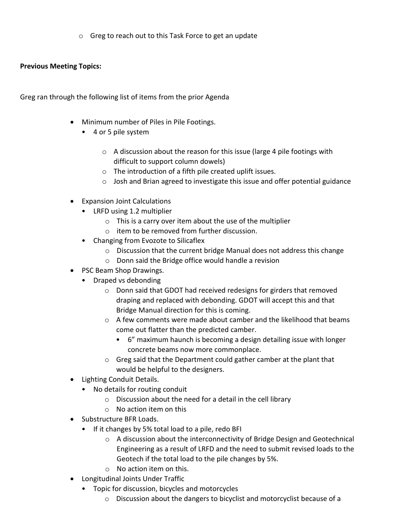o Greg to reach out to this Task Force to get an update

## **Previous Meeting Topics:**

Greg ran through the following list of items from the prior Agenda

- Minimum number of Piles in Pile Footings.
	- 4 or 5 pile system
		- o A discussion about the reason for this issue (large 4 pile footings with difficult to support column dowels)
		- o The introduction of a fifth pile created uplift issues.
		- o Josh and Brian agreed to investigate this issue and offer potential guidance
- Expansion Joint Calculations
	- LRFD using 1.2 multiplier
		- o This is a carry over item about the use of the multiplier
		- o item to be removed from further discussion.
	- Changing from Evozote to Silicaflex
		- o Discussion that the current bridge Manual does not address this change
		- o Donn said the Bridge office would handle a revision
- PSC Beam Shop Drawings.
	- Draped vs debonding
		- o Donn said that GDOT had received redesigns for girders that removed draping and replaced with debonding. GDOT will accept this and that Bridge Manual direction for this is coming.
		- $\circ$  A few comments were made about camber and the likelihood that beams come out flatter than the predicted camber.
			- 6" maximum haunch is becoming a design detailing issue with longer concrete beams now more commonplace.
		- o Greg said that the Department could gather camber at the plant that would be helpful to the designers.
- Lighting Conduit Details.
	- No details for routing conduit
		- o Discussion about the need for a detail in the cell library
		- $\circ$  No action item on this
- Substructure BFR Loads.
	- If it changes by 5% total load to a pile, redo BFI
		- o A discussion about the interconnectivity of Bridge Design and Geotechnical Engineering as a result of LRFD and the need to submit revised loads to the Geotech if the total load to the pile changes by 5%.
		- o No action item on this.
- Longitudinal Joints Under Traffic
	- Topic for discussion, bicycles and motorcycles
		- o Discussion about the dangers to bicyclist and motorcyclist because of a